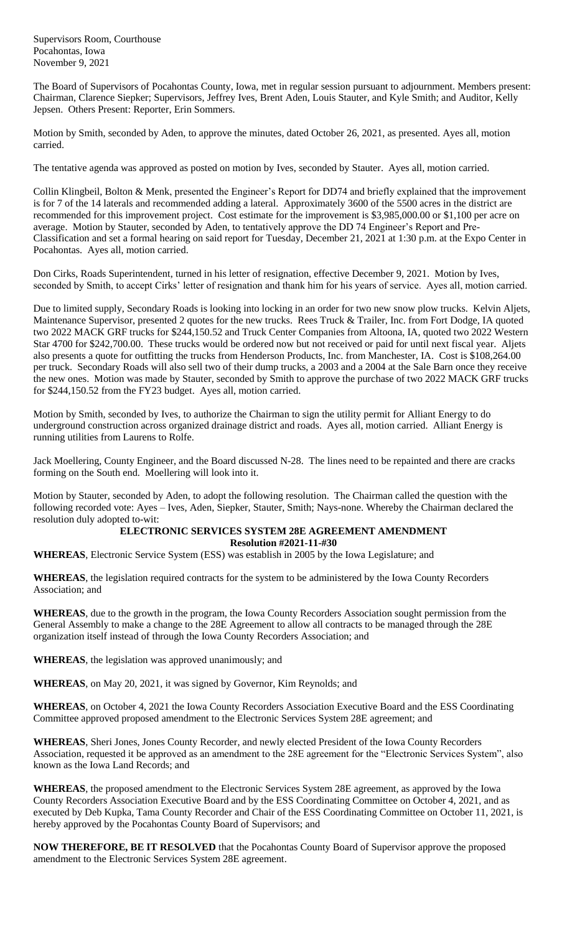Supervisors Room, Courthouse Pocahontas, Iowa November 9, 2021

The Board of Supervisors of Pocahontas County, Iowa, met in regular session pursuant to adjournment. Members present: Chairman, Clarence Siepker; Supervisors, Jeffrey Ives, Brent Aden, Louis Stauter, and Kyle Smith; and Auditor, Kelly Jepsen. Others Present: Reporter, Erin Sommers.

Motion by Smith, seconded by Aden, to approve the minutes, dated October 26, 2021, as presented. Ayes all, motion carried.

The tentative agenda was approved as posted on motion by Ives, seconded by Stauter. Ayes all, motion carried.

Collin Klingbeil, Bolton & Menk, presented the Engineer's Report for DD74 and briefly explained that the improvement is for 7 of the 14 laterals and recommended adding a lateral. Approximately 3600 of the 5500 acres in the district are recommended for this improvement project. Cost estimate for the improvement is \$3,985,000.00 or \$1,100 per acre on average. Motion by Stauter, seconded by Aden, to tentatively approve the DD 74 Engineer's Report and Pre-Classification and set a formal hearing on said report for Tuesday, December 21, 2021 at 1:30 p.m. at the Expo Center in Pocahontas. Ayes all, motion carried.

Don Cirks, Roads Superintendent, turned in his letter of resignation, effective December 9, 2021. Motion by Ives, seconded by Smith, to accept Cirks' letter of resignation and thank him for his years of service. Ayes all, motion carried.

Due to limited supply, Secondary Roads is looking into locking in an order for two new snow plow trucks. Kelvin Aljets, Maintenance Supervisor, presented 2 quotes for the new trucks. Rees Truck & Trailer, Inc. from Fort Dodge, IA quoted two 2022 MACK GRF trucks for \$244,150.52 and Truck Center Companies from Altoona, IA, quoted two 2022 Western Star 4700 for \$242,700.00. These trucks would be ordered now but not received or paid for until next fiscal year. Aljets also presents a quote for outfitting the trucks from Henderson Products, Inc. from Manchester, IA. Cost is \$108,264.00 per truck. Secondary Roads will also sell two of their dump trucks, a 2003 and a 2004 at the Sale Barn once they receive the new ones. Motion was made by Stauter, seconded by Smith to approve the purchase of two 2022 MACK GRF trucks for \$244,150.52 from the FY23 budget. Ayes all, motion carried.

Motion by Smith, seconded by Ives, to authorize the Chairman to sign the utility permit for Alliant Energy to do underground construction across organized drainage district and roads. Ayes all, motion carried. Alliant Energy is running utilities from Laurens to Rolfe.

Jack Moellering, County Engineer, and the Board discussed N-28. The lines need to be repainted and there are cracks forming on the South end. Moellering will look into it.

Motion by Stauter, seconded by Aden, to adopt the following resolution. The Chairman called the question with the following recorded vote: Ayes – Ives, Aden, Siepker, Stauter, Smith; Nays-none. Whereby the Chairman declared the resolution duly adopted to-wit:

## **ELECTRONIC SERVICES SYSTEM 28E AGREEMENT AMENDMENT**

**Resolution #2021-11-#30**

**WHEREAS**, Electronic Service System (ESS) was establish in 2005 by the Iowa Legislature; and

**WHEREAS**, the legislation required contracts for the system to be administered by the Iowa County Recorders Association; and

**WHEREAS**, due to the growth in the program, the Iowa County Recorders Association sought permission from the General Assembly to make a change to the 28E Agreement to allow all contracts to be managed through the 28E organization itself instead of through the Iowa County Recorders Association; and

**WHEREAS**, the legislation was approved unanimously; and

**WHEREAS**, on May 20, 2021, it was signed by Governor, Kim Reynolds; and

**WHEREAS**, on October 4, 2021 the Iowa County Recorders Association Executive Board and the ESS Coordinating Committee approved proposed amendment to the Electronic Services System 28E agreement; and

**WHEREAS**, Sheri Jones, Jones County Recorder, and newly elected President of the Iowa County Recorders Association, requested it be approved as an amendment to the 28E agreement for the "Electronic Services System", also known as the Iowa Land Records; and

**WHEREAS**, the proposed amendment to the Electronic Services System 28E agreement, as approved by the Iowa County Recorders Association Executive Board and by the ESS Coordinating Committee on October 4, 2021, and as executed by Deb Kupka, Tama County Recorder and Chair of the ESS Coordinating Committee on October 11, 2021, is hereby approved by the Pocahontas County Board of Supervisors; and

**NOW THEREFORE, BE IT RESOLVED** that the Pocahontas County Board of Supervisor approve the proposed amendment to the Electronic Services System 28E agreement.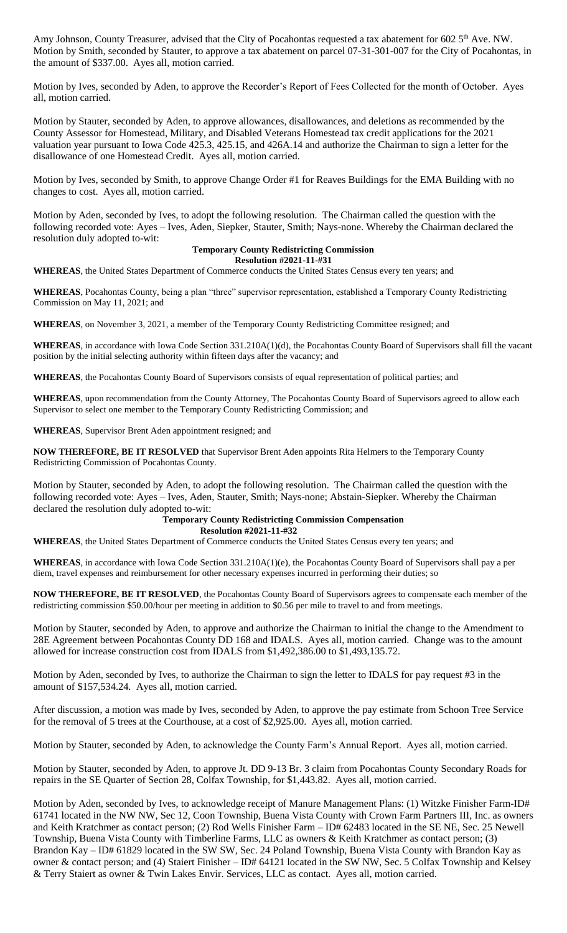Amy Johnson, County Treasurer, advised that the City of Pocahontas requested a tax abatement for 602 5<sup>th</sup> Ave. NW. Motion by Smith, seconded by Stauter, to approve a tax abatement on parcel 07-31-301-007 for the City of Pocahontas, in the amount of \$337.00. Ayes all, motion carried.

Motion by Ives, seconded by Aden, to approve the Recorder's Report of Fees Collected for the month of October. Ayes all, motion carried.

Motion by Stauter, seconded by Aden, to approve allowances, disallowances, and deletions as recommended by the County Assessor for Homestead, Military, and Disabled Veterans Homestead tax credit applications for the 2021 valuation year pursuant to Iowa Code 425.3, 425.15, and 426A.14 and authorize the Chairman to sign a letter for the disallowance of one Homestead Credit. Ayes all, motion carried.

Motion by Ives, seconded by Smith, to approve Change Order #1 for Reaves Buildings for the EMA Building with no changes to cost. Ayes all, motion carried.

Motion by Aden, seconded by Ives, to adopt the following resolution. The Chairman called the question with the following recorded vote: Ayes – Ives, Aden, Siepker, Stauter, Smith; Nays-none. Whereby the Chairman declared the resolution duly adopted to-wit:

## **Temporary County Redistricting Commission**

**Resolution #2021-11-#31**

**WHEREAS**, the United States Department of Commerce conducts the United States Census every ten years; and

**WHEREAS**, Pocahontas County, being a plan "three" supervisor representation, established a Temporary County Redistricting Commission on May 11, 2021; and

**WHEREAS**, on November 3, 2021, a member of the Temporary County Redistricting Committee resigned; and

**WHEREAS**, in accordance with Iowa Code Section 331.210A(1)(d), the Pocahontas County Board of Supervisors shall fill the vacant position by the initial selecting authority within fifteen days after the vacancy; and

**WHEREAS**, the Pocahontas County Board of Supervisors consists of equal representation of political parties; and

**WHEREAS**, upon recommendation from the County Attorney, The Pocahontas County Board of Supervisors agreed to allow each Supervisor to select one member to the Temporary County Redistricting Commission; and

**WHEREAS**, Supervisor Brent Aden appointment resigned; and

**NOW THEREFORE, BE IT RESOLVED** that Supervisor Brent Aden appoints Rita Helmers to the Temporary County Redistricting Commission of Pocahontas County.

Motion by Stauter, seconded by Aden, to adopt the following resolution. The Chairman called the question with the following recorded vote: Ayes – Ives, Aden, Stauter, Smith; Nays-none; Abstain-Siepker. Whereby the Chairman declared the resolution duly adopted to-wit:

### **Temporary County Redistricting Commission Compensation Resolution #2021-11-#32**

**WHEREAS**, the United States Department of Commerce conducts the United States Census every ten years; and

**WHEREAS**, in accordance with Iowa Code Section 331.210A(1)(e), the Pocahontas County Board of Supervisors shall pay a per diem, travel expenses and reimbursement for other necessary expenses incurred in performing their duties; so

**NOW THEREFORE, BE IT RESOLVED**, the Pocahontas County Board of Supervisors agrees to compensate each member of the redistricting commission \$50.00/hour per meeting in addition to \$0.56 per mile to travel to and from meetings.

Motion by Stauter, seconded by Aden, to approve and authorize the Chairman to initial the change to the Amendment to 28E Agreement between Pocahontas County DD 168 and IDALS. Ayes all, motion carried. Change was to the amount allowed for increase construction cost from IDALS from \$1,492,386.00 to \$1,493,135.72.

Motion by Aden, seconded by Ives, to authorize the Chairman to sign the letter to IDALS for pay request #3 in the amount of \$157,534.24. Ayes all, motion carried.

After discussion, a motion was made by Ives, seconded by Aden, to approve the pay estimate from Schoon Tree Service for the removal of 5 trees at the Courthouse, at a cost of \$2,925.00. Ayes all, motion carried.

Motion by Stauter, seconded by Aden, to acknowledge the County Farm's Annual Report. Ayes all, motion carried.

Motion by Stauter, seconded by Aden, to approve Jt. DD 9-13 Br. 3 claim from Pocahontas County Secondary Roads for repairs in the SE Quarter of Section 28, Colfax Township, for \$1,443.82. Ayes all, motion carried.

Motion by Aden, seconded by Ives, to acknowledge receipt of Manure Management Plans: (1) Witzke Finisher Farm-ID# 61741 located in the NW NW, Sec 12, Coon Township, Buena Vista County with Crown Farm Partners III, Inc. as owners and Keith Kratchmer as contact person; (2) Rod Wells Finisher Farm – ID# 62483 located in the SE NE, Sec. 25 Newell Township, Buena Vista County with Timberline Farms, LLC as owners & Keith Kratchmer as contact person; (3) Brandon Kay – ID# 61829 located in the SW SW, Sec. 24 Poland Township, Buena Vista County with Brandon Kay as owner & contact person; and (4) Staiert Finisher – ID# 64121 located in the SW NW, Sec. 5 Colfax Township and Kelsey & Terry Staiert as owner & Twin Lakes Envir. Services, LLC as contact. Ayes all, motion carried.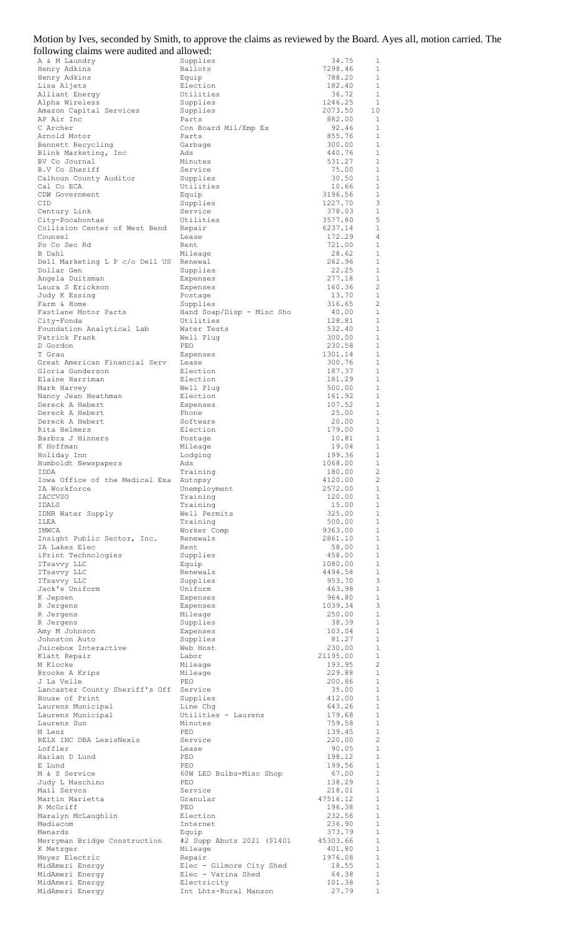|                                            | Motion by Ives, seconded by Smith, to approve the claims as reviewed by the Board. Ayes all, motion carried. The |  |  |  |
|--------------------------------------------|------------------------------------------------------------------------------------------------------------------|--|--|--|
| following claims ware audited and allowed. |                                                                                                                  |  |  |  |

| following claims were audited and allowed:             |                                       |                    |                                       |
|--------------------------------------------------------|---------------------------------------|--------------------|---------------------------------------|
| A & M Laundry<br>Henry Adkins                          | Supplies<br>Ballots                   | 34.75<br>7298.46   | 1<br>$\mathbf{1}$                     |
| Henry Adkins                                           | Equip                                 | 788.20             | $\mathbf{1}$                          |
| Lisa Aljets                                            | Election                              | 182.40             | $\mathbf{1}$                          |
| Alliant Energy                                         | Utilities                             | 36.72              | 1                                     |
| Alpha Wireless                                         | Supplies                              | 1246.25            | 1                                     |
| Amazon Capital Services<br>AP Air Inc                  | Supplies<br>Parts                     | 2073.50<br>882.00  | 10<br>1                               |
| C Archer                                               | Con Board Mil/Emp Ex                  | 92.46              | $\mathbf{1}$                          |
| Arnold Motor                                           | Parts                                 | 855.76             | 1                                     |
| Bennett Recycling                                      | Garbage                               | 300.00             | $\mathbf{1}$                          |
| Blink Marketing, Inc<br>BV Co Journal                  | Ads<br>Minutes                        | 440.76<br>531.27   | 1<br>1                                |
| B.V Co Sheriff                                         | Service                               | 75.00              | $\mathbf{1}$                          |
| Calhoun County Auditor                                 | Supplies                              | 30.50              | $\mathbf{1}$                          |
| Cal Co ECA<br>CDW Government                           | Utilities<br>Equip                    | 10.66<br>3196.56   | $\mathbf{1}$<br>$\mathbf{1}$          |
| CID                                                    | Supplies                              | 1227.70            | 3                                     |
| Century Link                                           | Service                               | 378.03             | $\mathbf{1}$                          |
| City-Pocahontas                                        | Utilities                             | 3577.80            | 5                                     |
| Collision Center of West Bend<br>Counsel               | Repair<br>Lease                       | 6237.14<br>172.29  | $\mathbf{1}$<br>4                     |
| Po Co Sec Rd                                           | Rent                                  | 721.00             | $\mathbf{1}$                          |
| B Dahl                                                 | Mileage                               | 28.62              | $\mathbf{1}$                          |
| Dell Marketing L P c/o Dell US<br>Dollar Gen           | Renewal<br>Supplies                   | 262.96<br>22.25    | $\mathbf{1}$<br>$\mathbf{1}$          |
| Angela Duitsman                                        | Expenses                              | 277.18             | $\mathbf{1}$                          |
| Laura S Erickson                                       | Expenses                              | 160.36             | 2                                     |
| Judy K Essing                                          | Postage                               | 13.70              | $\mathbf{1}$                          |
| Farm & Home<br>Fastlane Motor Parts                    | Supplies<br>Hand Soap/Disp - Misc Sho | 316.65<br>40.00    | $\mathbf{2}^{\prime}$<br>$\mathbf{1}$ |
| City-Fonda                                             | Utilities                             | 128.81             | $\mathbf{1}$                          |
| Foundation Analytical Lab                              | Water Tests                           | 532.40             | $\mathbf{1}$                          |
| Patrick Frank                                          | Well Plug                             | 300.00             | $\mathbf{1}$<br>$\mathbf{1}$          |
| D Gordon<br>T Grau                                     | PEO<br>Expenses                       | 230.58<br>1301.14  | $\mathbf{1}$                          |
| Great American Financial Serv                          | Lease                                 | 300.76             | $\mathbf{1}$                          |
| Gloria Gunderson                                       | Election                              | 187.37             | $\mathbf{1}$                          |
| Elaine Harriman<br>Mark Harvey                         | Election<br>Well Plug                 | 181.29<br>500.00   | $\mathbf{1}$<br>$\mathbf{1}$          |
| Nancy Jean Heathman                                    | Election                              | 161.92             | $\mathbf{1}$                          |
| Dereck A Hebert                                        | Expenses                              | 107.52             | $\mathbf{1}$                          |
| Dereck A Hebert<br>Dereck A Hebert                     | Phone<br>Software                     | 25.00<br>20.00     | $\mathbf{1}$<br>$\mathbf{1}$          |
| Rita Helmers                                           | Election                              | 179.00             | $\mathbf{1}$                          |
| Barbra J Hinners                                       | Postage                               | 10.81              | $\mathbf{1}$                          |
| K Hoffman<br>Holiday Inn                               | Mileage<br>Lodging                    | 19.04<br>199.36    | $\mathbf{1}$<br>1                     |
| Humboldt Newspapers                                    | Ads                                   | 1068.00            | $\mathbf{1}$                          |
| IDDA                                                   | Training                              | 180.00             | 2                                     |
| Iowa Office of the Medical Exa Autopsy<br>IA Workforce | Unemployment                          | 4120.00<br>2572.00 | $\overline{2}$<br>$\mathbf{1}$        |
| <b>IACCVSO</b>                                         | Training                              | 120.00             | $\mathbf{1}$                          |
| IDALS                                                  | Training                              | 15.00              | $\mathbf{1}$                          |
| IDNR Water Supply                                      | Well Permits                          | 325.00             | $\mathbf{1}$                          |
| ILEA<br>IMWCA                                          | Training<br>Worker Comp               | 500.00<br>9363.00  | $\mathbf{1}$<br>$\mathbf{1}$          |
| Insight Public Sector, Inc.                            | Renewals                              | 2861.10            | $\mathbf{1}$                          |
| IA Lakes Elec                                          | Rent                                  | 58.00              | $\mathbf{1}$                          |
| iPrint Technologies<br>ITsavvy LLC                     | Supplies<br>Equip                     | 458.00<br>1080.00  | $\mathbf{1}$<br>$\mathbf{1}$          |
| ITsavvy LLC                                            | Renewals                              | 4494.58            | $\mathbf{1}$                          |
| ITsavvy LLC                                            | Supplies                              | 953.70             | 3                                     |
| Jack's Uniform                                         | Uniform                               | 463.98<br>964.80   | $\mathbf{1}$<br>$\mathbf{1}$          |
| K Jepsen<br>R Jergens                                  | Expenses<br>Expenses                  | 1039.34            | 3                                     |
| R Jergens                                              | Mileage                               | 250.00             | 1                                     |
| R Jergens                                              | Supplies                              | 38.39              | $\mathbf{1}$                          |
| Amy M Johnson<br>Johnston Auto                         | Expenses<br>Supplies                  | 103.04<br>81.27    | $\mathbf{1}$<br>$\mathbf{1}$          |
| Juicebox Interactive                                   | Web Host                              | 230.00             | $\mathbf{1}$                          |
| Klatt Repair                                           | Labor                                 | 21195.00           | $\mathbf{1}$                          |
| M Klocke                                               | Mileage                               | 193.95             | $\mathbf{2}^{\prime}$<br>$\mathbf{1}$ |
| Brooke A Krips<br>J La Velle                           | Mileage<br>PEO                        | 229.88<br>200.86   | $\mathbf{1}$                          |
| Lancaster County Sheriff's Off                         | Service                               | 35.00              | $\mathbf{1}$                          |
| House of Print                                         | Supplies                              | 412.00             | $\mathbf{1}$                          |
| Laurens Municipal<br>Laurens Municipal                 | Line Chg<br>Utilities - Laurens       | 643.26<br>179.68   | $\mathbf{1}$<br>$\mathbf{1}$          |
| Laurens Sun                                            | Minutes                               | 759.58             | $\mathbf{1}$                          |
| M Lenz                                                 | PEO                                   | 139.45             | $\mathbf{1}$                          |
| RELX INC DBA LexisNexis<br>Loffler                     | Service<br>Lease                      | 220.00<br>90.05    | $\mathbf{2}^{\prime}$<br>$\mathbf{1}$ |
| Harlan D Lund                                          | PEO                                   | 198.12             | $\mathbf{1}$                          |
| E Lund                                                 | PEO                                   | 199.56             | $\mathbf{1}$                          |
| M & S Service<br>Judy L Maschino                       | 60W LED Bulbs-Misc Shop<br>PEO        | 67.00<br>138.29    | $\mathbf{1}$<br>$\mathbf{1}$          |
| Mail Servcs                                            | Service                               | 218.01             | $\mathbf{1}$                          |
| Martin Marietta                                        | Granular                              | 47516.12           | $\mathbf{1}$                          |
| R McGriff<br>Maralyn McLaughlin                        | PEO<br>Election                       | 196.38<br>232.56   | $\mathbf{1}$<br>$\mathbf{1}$          |
| Mediacom                                               | Internet                              | 236.90             | $\mathbf{1}$                          |
| Menards                                                | Equip                                 | 373.79             | $\mathbf{1}$                          |
| Merryman Bridge Construction<br>K Metzger              | #2 Supp Abuts 2021 (\$1401<br>Mileage | 45303.66<br>401.80 | $\mathbf{1}$<br>$\mathbf{1}$          |
| Meyer Electric                                         | Repair                                | 1976.08            | $\mathbf{1}$                          |
| MidAmeri Energy                                        | Elec - Gilmore City Shed              | 18.55              | $\mathbf{1}$                          |
| MidAmeri Energy<br>MidAmeri Energy                     | Elec - Varina Shed<br>Electricity     | 64.38<br>101.38    | $\mathbf{1}$<br>$\mathbf{1}$          |
| MidAmeri Energy                                        | Int Lhts-Rural Manson                 | 27.79              | $\mathbf{1}$                          |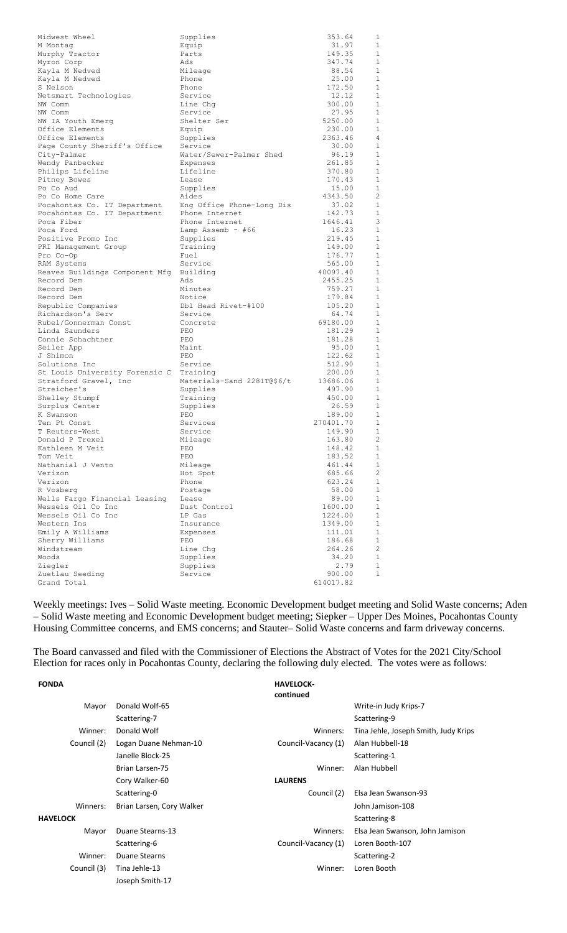| Midwest Wheel                           | Supplies                   | 353.64    | 1              |
|-----------------------------------------|----------------------------|-----------|----------------|
| M Montag                                | Equip                      | 31.97     | $\mathbf{1}$   |
| Murphy Tractor                          | Parts                      | 149.35    | 1              |
| Myron Corp                              | Ads                        | 347.74    | 1              |
| Kayla M Nedved                          | Mileage                    | 88.54     | 1              |
|                                         |                            |           | $\mathbf{1}$   |
| Kayla M Nedved                          | Phone                      | 25.00     |                |
| S Nelson                                | Phone                      | 172.50    | $\mathbf{1}$   |
| Netsmart Technologies                   | Service                    | 12.12     | $\mathbf{1}$   |
| NW Comm                                 | Line Chq                   | 300.00    | $\mathbf{1}$   |
| NW Comm                                 | Service                    | 27.95     | $\mathbf{1}$   |
| NW IA Youth Emerg                       | Shelter Ser                | 5250.00   | 1              |
| Office Elements                         | Equip                      | 230.00    | $\mathbf{1}$   |
| Office Elements                         | Supplies                   | 2363.46   | 4              |
|                                         |                            |           | 1              |
| Page County Sheriff's Office            | Service                    | 30.00     |                |
| City-Palmer                             | Water/Sewer-Palmer Shed    | 96.19     | $\mathbf{1}$   |
| Wendy Panbecker                         | Expenses                   | 261.85    | $\mathbf{1}$   |
| Philips Lifeline                        | Lifeline                   | 370.80    | 1              |
| Pitney Bowes                            | Lease                      | 170.43    | 1              |
| Po Co Aud                               | Supplies                   | 15.00     | 1              |
| Po Co Home Care                         | Aides                      | 4343.50   | $\overline{c}$ |
| Pocahontas Co. IT Department            | Eng Office Phone-Long Dis  | 37.02     | 1              |
|                                         |                            | 142.73    |                |
| Pocahontas Co. IT Department            | Phone Internet             |           | 1              |
| Poca Fiber                              | Phone Internet             | 1646.41   | 3              |
| Poca Ford                               | Lamp Assemb $-$ #66        | 16.23     | $\mathbf{1}$   |
| Positive Promo Inc                      | Supplies                   | 219.45    | 1              |
| PRI Management Group                    | Training                   | 149.00    | $\mathbf{1}$   |
| Pro Co-Op                               | Fuel                       | 176.77    | $\mathbf{1}$   |
| RAM Systems                             | Service                    | 565.00    | $\mathbf{1}$   |
|                                         |                            |           | 1              |
| Reaves Buildings Component Mfg Building |                            | 40097.40  |                |
| Record Dem                              | Ads                        | 2455.25   | 1              |
| Record Dem                              | Minutes                    | 759.27    | 1              |
| Record Dem                              | Notice                     | 179.84    | 1              |
| Republic Companies                      | Dbl Head Rivet-#100        | 105.20    | 1              |
| Richardson's Serv                       | Service                    | 64.74     | 1              |
| Rubel/Gonnerman Const                   | Concrete                   | 69180.00  | 1              |
| Linda Saunders                          | PEO                        | 181.29    | 1              |
|                                         | PEO                        |           | 1              |
| Connie Schachtner                       |                            | 181.28    |                |
| Seiler App                              | Maint                      | 95.00     | 1              |
| J Shimon                                | PEO                        | 122.62    | $\mathbf{1}$   |
| Solutions Inc                           | Service                    | 512.90    | 1              |
| St Louis University Forensic C          | Training                   | 200.00    | 1              |
| Stratford Gravel, Inc                   | Materials-Sand 2281T@\$6/t | 13686.06  | $\mathbf{1}$   |
| Streicher's                             | Supplies                   | 497.90    | $\mathbf{1}$   |
| Shelley Stumpf                          | Training                   | 450.00    | 1              |
| Surplus Center                          |                            | 26.59     | $\mathbf{1}$   |
|                                         | Supplies                   |           |                |
| K Swanson                               | PEO                        | 189.00    | 1              |
| Ten Pt Const                            | Services                   | 270401.70 | $\mathbf{1}$   |
| T Reuters-West                          | Service                    | 149.90    | 1              |
| Donald P Trexel                         | Mileage                    | 163.80    | $\overline{c}$ |
| Kathleen M Veit                         | ${\tt PEO}$                | 148.42    | 1              |
| Tom Veit                                | PEO                        | 183.52    | $\mathbf{1}$   |
| Nathanial J Vento                       | Mileage                    | 461.44    | $\mathbf{1}$   |
| Verizon                                 | Hot Spot                   | 685.66    | 2              |
| Verizon                                 |                            |           |                |
|                                         | Phone                      | 623.24    | 1              |
| R Vosberg                               | Postage                    | 58.00     | $\mathbf{1}$   |
| Wells Fargo Financial Leasing           | Lease                      | 89.00     | 1              |
| Wessels Oil Co Inc                      | Dust Control               | 1600.00   | $\mathbf{1}$   |
| Wessels Oil Co Inc                      | LP Gas                     | 1224.00   | $\mathbf{1}$   |
| Western Ins                             | Insurance                  | 1349.00   | $\mathbf{1}$   |
| Emily A Williams                        | Expenses                   | 111.01    | $\mathbf{1}$   |
| Sherry Williams                         | PEO                        | 186.68    | $\mathbf{1}$   |
|                                         |                            | 264.26    | 2              |
| Windstream                              | Line Chq                   |           |                |
| Woods                                   | Supplies                   | 34.20     | $\mathbf{1}$   |
| Ziegler                                 | Supplies                   | 2.79      | 1              |
| Zuetlau Seeding                         | Service                    | 900.00    | $\mathbf{1}$   |
| Grand Total                             |                            | 614017.82 |                |

Weekly meetings: Ives – Solid Waste meeting. Economic Development budget meeting and Solid Waste concerns; Aden – Solid Waste meeting and Economic Development budget meeting; Siepker – Upper Des Moines, Pocahontas County Housing Committee concerns, and EMS concerns; and Stauter– Solid Waste concerns and farm driveway concerns.

The Board canvassed and filed with the Commissioner of Elections the Abstract of Votes for the 2021 City/School Election for races only in Pocahontas County, declaring the following duly elected. The votes were as follows:

| <b>FONDA</b>    |                           | <b>HAVELOCK-</b><br>continued |                                      |
|-----------------|---------------------------|-------------------------------|--------------------------------------|
| Mayor           | Donald Wolf-65            |                               | Write-in Judy Krips-7                |
|                 | Scattering-7              |                               | Scattering-9                         |
| Winner:         | Donald Wolf               | Winners:                      | Tina Jehle, Joseph Smith, Judy Krips |
| Council (2)     | Logan Duane Nehman-10     | Council-Vacancy (1)           | Alan Hubbell-18                      |
|                 | Janelle Block-25          |                               | Scattering-1                         |
|                 | Brian Larsen-75           | Winner:                       | Alan Hubbell                         |
|                 | Cory Walker-60            | <b>LAURENS</b>                |                                      |
|                 | Scattering-0              | Council (2)                   | Elsa Jean Swanson-93                 |
| Winners:        | Brian Larsen, Cory Walker |                               | John Jamison-108                     |
| <b>HAVELOCK</b> |                           |                               | Scattering-8                         |
| Mayor           | Duane Stearns-13          | Winners:                      | Elsa Jean Swanson, John Jamison      |
|                 | Scattering-6              | Council-Vacancy (1)           | Loren Booth-107                      |
| Winner:         | Duane Stearns             |                               | Scattering-2                         |
| Council (3)     | Tina Jehle-13             | Winner:                       | Loren Booth                          |
|                 | Joseph Smith-17           |                               |                                      |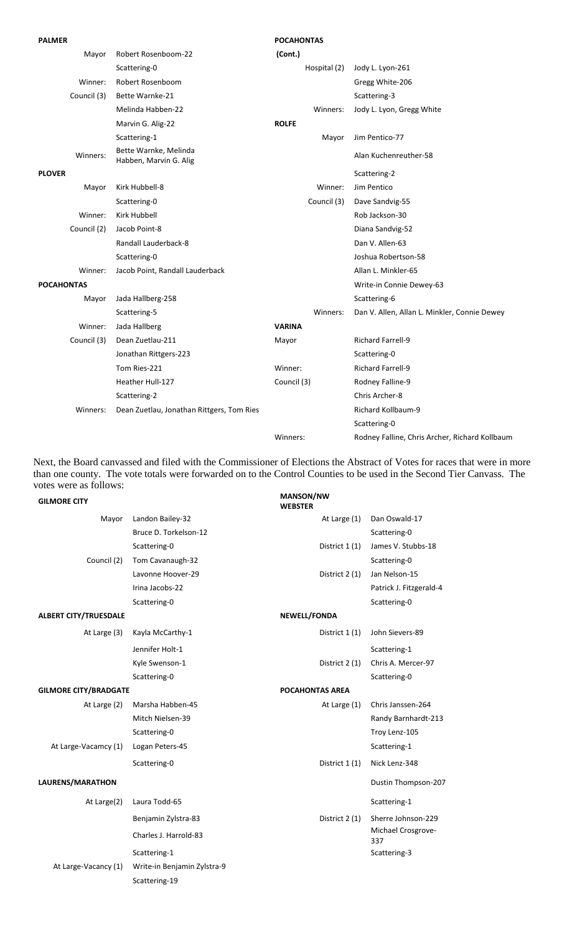| <b>PALMER</b>     |                                                 | <b>POCAHONTAS</b> |                                                |
|-------------------|-------------------------------------------------|-------------------|------------------------------------------------|
| Mayor             | Robert Rosenboom-22                             | (Cont.)           |                                                |
|                   | Scattering-0                                    | Hospital (2)      | Jody L. Lyon-261                               |
| Winner:           | Robert Rosenboom                                |                   | Gregg White-206                                |
| Council (3)       | Bette Warnke-21                                 |                   | Scattering-3                                   |
|                   | Melinda Habben-22                               | Winners:          | Jody L. Lyon, Gregg White                      |
|                   | Marvin G. Alig-22                               | <b>ROLFE</b>      |                                                |
|                   | Scattering-1                                    | Mayor             | Jim Pentico-77                                 |
| Winners:          | Bette Warnke, Melinda<br>Habben, Marvin G. Alig |                   | Alan Kuchenreuther-58                          |
| <b>PLOVER</b>     |                                                 |                   | Scattering-2                                   |
| Mayor             | Kirk Hubbell-8                                  | Winner:           | Jim Pentico                                    |
|                   | Scattering-0                                    | Council (3)       | Dave Sandvig-55                                |
| Winner:           | Kirk Hubbell                                    |                   | Rob Jackson-30                                 |
| Council (2)       | Jacob Point-8                                   |                   | Diana Sandvig-52                               |
|                   | Randall Lauderback-8                            |                   | Dan V. Allen-63                                |
|                   | Scattering-0                                    |                   | Joshua Robertson-58                            |
| Winner:           | Jacob Point, Randall Lauderback                 |                   | Allan L. Minkler-65                            |
| <b>POCAHONTAS</b> |                                                 |                   | Write-in Connie Dewey-63                       |
| Mayor             | Jada Hallberg-258                               |                   | Scattering-6                                   |
|                   | Scattering-5                                    | Winners:          | Dan V. Allen, Allan L. Minkler, Connie Dewey   |
| Winner:           | Jada Hallberg                                   | <b>VARINA</b>     |                                                |
| Council (3)       | Dean Zuetlau-211                                | Mayor             | Richard Farrell-9                              |
|                   | Jonathan Rittgers-223                           |                   | Scattering-0                                   |
|                   | Tom Ries-221                                    | Winner:           | <b>Richard Farrell-9</b>                       |
|                   | Heather Hull-127                                | Council (3)       | Rodney Falline-9                               |
|                   | Scattering-2                                    |                   | Chris Archer-8                                 |
| Winners:          | Dean Zuetlau, Jonathan Rittgers, Tom Ries       |                   | Richard Kollbaum-9                             |
|                   |                                                 |                   | Scattering-0                                   |
|                   |                                                 | Winners:          | Rodney Falline, Chris Archer, Richard Kollbaum |

Next, the Board canvassed and filed with the Commissioner of Elections the Abstract of Votes for races that were in more than one county. The vote totals were forwarded on to the Control Counties to be used in the Second Tier Canvass. The votes were as follows:

| <b>GILMORE CITY</b>          |                             | <b>MANSON/NW</b><br><b>WEBSTER</b> |                           |
|------------------------------|-----------------------------|------------------------------------|---------------------------|
| Mayor                        | Landon Bailey-32            | At Large (1)                       | Dan Oswald-17             |
|                              | Bruce D. Torkelson-12       |                                    | Scattering-0              |
|                              | Scattering-0                | District 1(1)                      | James V. Stubbs-18        |
| Council (2)                  | Tom Cavanaugh-32            |                                    | Scattering-0              |
|                              | Lavonne Hoover-29           | District 2 (1)                     | Jan Nelson-15             |
|                              | Irina Jacobs-22             |                                    | Patrick J. Fitzgerald-4   |
|                              | Scattering-0                |                                    | Scattering-0              |
| <b>ALBERT CITY/TRUESDALE</b> |                             | <b>NEWELL/FONDA</b>                |                           |
| At Large (3)                 | Kayla McCarthy-1            | District 1 (1)                     | John Sievers-89           |
|                              | Jennifer Holt-1             |                                    | Scattering-1              |
|                              | Kyle Swenson-1              | District 2 (1)                     | Chris A. Mercer-97        |
|                              | Scattering-0                |                                    | Scattering-0              |
| <b>GILMORE CITY/BRADGATE</b> |                             | <b>POCAHONTAS AREA</b>             |                           |
| At Large (2)                 | Marsha Habben-45            | At Large (1)                       | Chris Janssen-264         |
|                              | Mitch Nielsen-39            |                                    | Randy Barnhardt-213       |
|                              | Scattering-0                |                                    | Troy Lenz-105             |
| At Large-Vacamcy (1)         | Logan Peters-45             |                                    | Scattering-1              |
|                              | Scattering-0                | District 1(1)                      | Nick Lenz-348             |
| LAURENS/MARATHON             |                             |                                    | Dustin Thompson-207       |
| At Large(2)                  | Laura Todd-65               |                                    | Scattering-1              |
|                              | Benjamin Zylstra-83         | District 2 (1)                     | Sherre Johnson-229        |
|                              | Charles J. Harrold-83       |                                    | Michael Crosgrove-<br>337 |
|                              | Scattering-1                |                                    | Scattering-3              |
| At Large-Vacancy (1)         | Write-in Benjamin Zylstra-9 |                                    |                           |
|                              | Scattering-19               |                                    |                           |